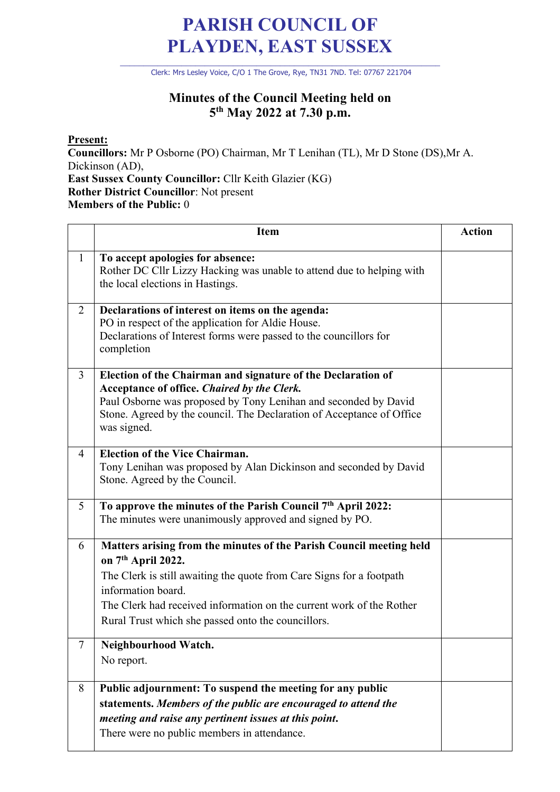## **PARISH COUNCIL OF PLAYDEN, EAST SUSSEX**

\_\_\_\_\_\_\_\_\_\_\_\_\_\_\_\_\_\_\_\_\_\_\_\_\_\_\_\_\_\_\_\_\_\_\_\_\_\_\_\_\_\_\_\_\_\_\_\_\_\_\_\_\_\_\_\_\_\_\_\_\_\_\_\_\_\_\_\_ Clerk: Mrs Lesley Voice, C/O 1 The Grove, Rye, TN31 7ND. Tel: 07767 221704

## **Minutes of the Council Meeting held on 5th May 2022 at 7.30 p.m.**

**Present:**

Ē

**Councillors:** Mr P Osborne (PO) Chairman, Mr T Lenihan (TL), Mr D Stone (DS),Mr A. Dickinson (AD), **East Sussex County Councillor:** Cllr Keith Glazier (KG) **Rother District Councillor**: Not present **Members of the Public:** 0

|                | Item                                                                                                                                                                                                                                                                                                                  | <b>Action</b> |
|----------------|-----------------------------------------------------------------------------------------------------------------------------------------------------------------------------------------------------------------------------------------------------------------------------------------------------------------------|---------------|
| $\mathbf{1}$   | To accept apologies for absence:<br>Rother DC Cllr Lizzy Hacking was unable to attend due to helping with<br>the local elections in Hastings.                                                                                                                                                                         |               |
| $\overline{2}$ | Declarations of interest on items on the agenda:<br>PO in respect of the application for Aldie House.<br>Declarations of Interest forms were passed to the councillors for<br>completion                                                                                                                              |               |
| 3              | Election of the Chairman and signature of the Declaration of<br>Acceptance of office. Chaired by the Clerk.<br>Paul Osborne was proposed by Tony Lenihan and seconded by David<br>Stone. Agreed by the council. The Declaration of Acceptance of Office<br>was signed.                                                |               |
| $\overline{4}$ | <b>Election of the Vice Chairman.</b><br>Tony Lenihan was proposed by Alan Dickinson and seconded by David<br>Stone. Agreed by the Council.                                                                                                                                                                           |               |
| 5              | To approve the minutes of the Parish Council 7 <sup>th</sup> April 2022:<br>The minutes were unanimously approved and signed by PO.                                                                                                                                                                                   |               |
| 6              | Matters arising from the minutes of the Parish Council meeting held<br>on 7th April 2022.<br>The Clerk is still awaiting the quote from Care Signs for a footpath<br>information board.<br>The Clerk had received information on the current work of the Rother<br>Rural Trust which she passed onto the councillors. |               |
| 7              | Neighbourhood Watch.<br>No report.                                                                                                                                                                                                                                                                                    |               |
| 8              | Public adjournment: To suspend the meeting for any public<br>statements. Members of the public are encouraged to attend the<br>meeting and raise any pertinent issues at this point.<br>There were no public members in attendance.                                                                                   |               |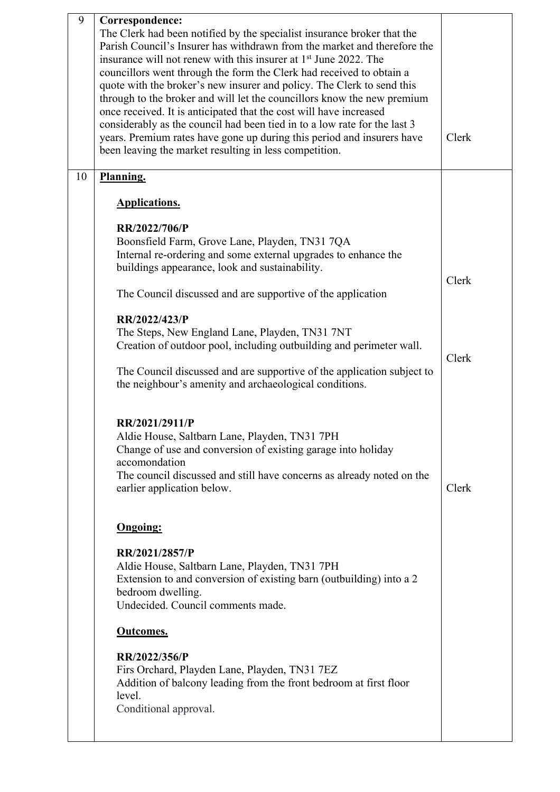| 9  | Correspondence:<br>The Clerk had been notified by the specialist insurance broker that the<br>Parish Council's Insurer has withdrawn from the market and therefore the<br>insurance will not renew with this insurer at 1 <sup>st</sup> June 2022. The<br>councillors went through the form the Clerk had received to obtain a<br>quote with the broker's new insurer and policy. The Clerk to send this<br>through to the broker and will let the councillors know the new premium<br>once received. It is anticipated that the cost will have increased<br>considerably as the council had been tied in to a low rate for the last 3<br>years. Premium rates have gone up during this period and insurers have<br>been leaving the market resulting in less competition. | Clerk |
|----|----------------------------------------------------------------------------------------------------------------------------------------------------------------------------------------------------------------------------------------------------------------------------------------------------------------------------------------------------------------------------------------------------------------------------------------------------------------------------------------------------------------------------------------------------------------------------------------------------------------------------------------------------------------------------------------------------------------------------------------------------------------------------|-------|
| 10 | Planning.                                                                                                                                                                                                                                                                                                                                                                                                                                                                                                                                                                                                                                                                                                                                                                  |       |
|    | <b>Applications.</b>                                                                                                                                                                                                                                                                                                                                                                                                                                                                                                                                                                                                                                                                                                                                                       |       |
|    | RR/2022/706/P                                                                                                                                                                                                                                                                                                                                                                                                                                                                                                                                                                                                                                                                                                                                                              |       |
|    | Boonsfield Farm, Grove Lane, Playden, TN31 7QA<br>Internal re-ordering and some external upgrades to enhance the<br>buildings appearance, look and sustainability.                                                                                                                                                                                                                                                                                                                                                                                                                                                                                                                                                                                                         | Clerk |
|    | The Council discussed and are supportive of the application                                                                                                                                                                                                                                                                                                                                                                                                                                                                                                                                                                                                                                                                                                                |       |
|    | RR/2022/423/P<br>The Steps, New England Lane, Playden, TN31 7NT<br>Creation of outdoor pool, including outbuilding and perimeter wall.<br>The Council discussed and are supportive of the application subject to<br>the neighbour's amenity and archaeological conditions.                                                                                                                                                                                                                                                                                                                                                                                                                                                                                                 | Clerk |
|    | RR/2021/2911/P<br>Aldie House, Saltbarn Lane, Playden, TN31 7PH<br>Change of use and conversion of existing garage into holiday<br>accomondation<br>The council discussed and still have concerns as already noted on the<br>earlier application below.                                                                                                                                                                                                                                                                                                                                                                                                                                                                                                                    | Clerk |
|    | <b>Ongoing:</b>                                                                                                                                                                                                                                                                                                                                                                                                                                                                                                                                                                                                                                                                                                                                                            |       |
|    | RR/2021/2857/P<br>Aldie House, Saltbarn Lane, Playden, TN31 7PH<br>Extension to and conversion of existing barn (outbuilding) into a 2<br>bedroom dwelling.<br>Undecided. Council comments made.                                                                                                                                                                                                                                                                                                                                                                                                                                                                                                                                                                           |       |
|    | Outcomes.                                                                                                                                                                                                                                                                                                                                                                                                                                                                                                                                                                                                                                                                                                                                                                  |       |
|    | RR/2022/356/P<br>Firs Orchard, Playden Lane, Playden, TN31 7EZ<br>Addition of balcony leading from the front bedroom at first floor<br>level.<br>Conditional approval.                                                                                                                                                                                                                                                                                                                                                                                                                                                                                                                                                                                                     |       |